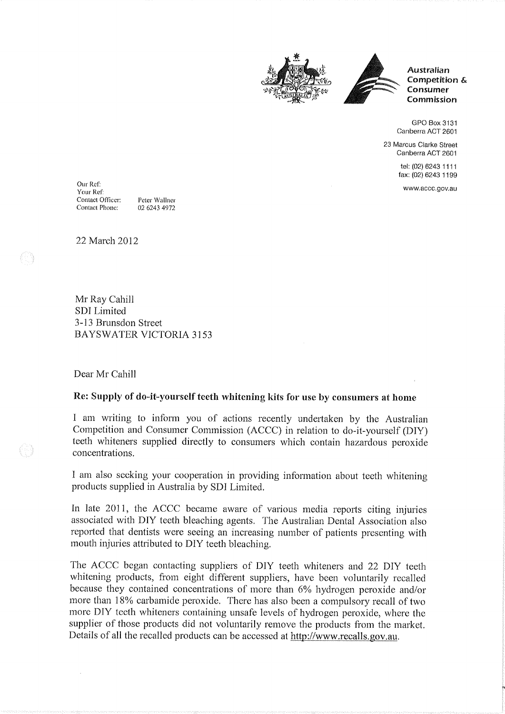



**Australian** Competition & Consumer Commission

GPO Box 3131 Canberra ACT 2601

23 Marcus Clarke Street Canberra ACT 2601

> tel: (02) 6243 1111 fax: (02) 6243 1199

www.accc.gov.au

Our Ref: Your Ref: Contact Officer: Peter Wallner Contact Phone: 02 6243 4972

22 March 2012

Mr Ray Cahill SDI Limited 3-13 Brunsdon Street **BAYSWATER VICTORIA 3153** 

Dear Mr Cahill

## Re: Supply of do-it-yourself teeth whitening kits for use by consumers at home

I am writing to inform you of actions recently undertaken by the Australian Competition and Consumer Commission (ACCC) in relation to do-it-yourself (DIY) teeth whiteners supplied directly to consumers which contain hazardous peroxide concentrations.

I am also seeking your cooperation in providing information about teeth whitening products supplied in Australia by SDI Limited.

In late 2011, the ACCC became aware of various media reports citing injuries associated with DIY teeth bleaching agents. The Australian Dental Association also reported that dentists were seeing an increasing number of patients presenting with mouth injuries attributed to DIY teeth bleaching.

The ACCC began contacting suppliers of DIY teeth whiteners and 22 DIY teeth whitening products, from eight different suppliers, have been voluntarily recalled because they contained concentrations of more than 6% hydrogen peroxide and/or more than 18% carbamide peroxide. There has also been a compulsory recall of two more DIY teeth whiteners containing unsafe levels of hydrogen peroxide, where the supplier of those products did not voluntarily remove the products from the market. Details of all the recalled products can be accessed at http://www.recalls.gov.au.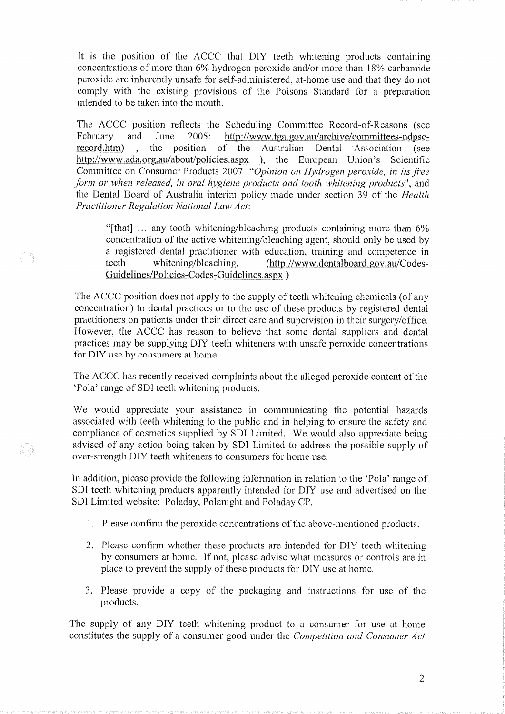It is the position of the ACCC that DIY teeth whitening products containing concentrations of more than 6% hydrogen peroxide and/or more than 18% carbamide peroxide are inherently unsafe for self-administered, at-home use and that they do not comply with the existing provisions of the Poisons Standard for a preparation intended to be taken into the mouth.

The ACCC position reflects the Scheduling Committee Record-of-Reasons (see February and June  $2005:$ http://www.tga.gov.au/archive/committees-ndpscrecord.htm) the position of the Australian Dental Association (see http://www.ada.org.au/about/policies.aspx ), the European Union's Scientific Committee on Consumer Products 2007 "Opinion on Hydrogen peroxide, in its free form or when released, in oral hygiene products and tooth whitening products", and the Dental Board of Australia interim policy made under section 39 of the *Health* Practitioner Regulation National Law Act:

"[that] ... any tooth whitening/bleaching products containing more than 6% concentration of the active whitening/bleaching agent, should only be used by a registered dental practitioner with education, training and competence in whitening/bleaching. (http://www.dentalboard.gov.au/Codesteeth Guidelines/Policies-Codes-Guidelines.aspx)

The ACCC position does not apply to the supply of teeth whitening chemicals (of any concentration) to dental practices or to the use of these products by registered dental practitioners on patients under their direct care and supervision in their surgery/office. However, the ACCC has reason to believe that some dental suppliers and dental practices may be supplying DIY teeth whiteners with unsafe peroxide concentrations for DIY use by consumers at home.

이

(1~)

The ACCC has recently received complaints about the alleged peroxide content of the 'Pola' range of SDI teeth whitening products.

We would appreciate your assistance in communicating the potential hazards associated with teeth whitening to the public and in helping to ensure the safety and compliance of cosmetics supplied by SDI Limited. We would also appreciate being advised of any action being taken by SDI Limited to address the possible supply of over-strength DIY teeth whiteners to consumers for home use.

In addition, please provide the following information in relation to the 'Pola' range of SDI teeth whitening products apparently intended for DIY use and advertised on the SDI Limited website: Poladay, Polanight and Poladay CP.

- 1. Please confirm the peroxide concentrations of the above-mentioned products.
- 2. Please confirm whether these products are intended for DIY teeth whitening by consumers at home. If not, please advise what measures or controls are in place to prevent the supply of these products for DIY use at home.
- 3. Please provide a copy of the packaging and instructions for use of the products.

The supply of any DIY teeth whitening product to a consumer for use at home constitutes the supply of a consumer good under the *Competition and Consumer Act*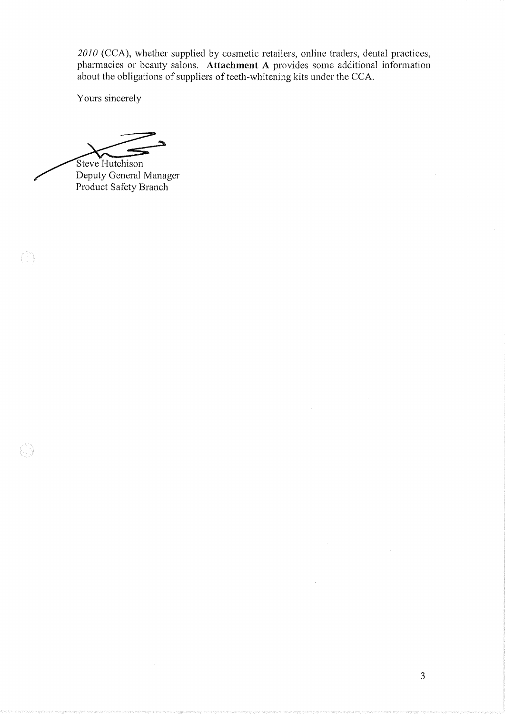2010 (CCA), whether supplied by cosmetic retailers, online traders, dental practices, pharmacies or beauty salons. Attachment A provides some additional information about the obligations of suppliers of teeth-whitening kits under the CCA.

Yours sincerely

Steve Hutchison

 $\langle \hat{U} \rangle$ 

0

Deputy General Manager Product Safety Branch